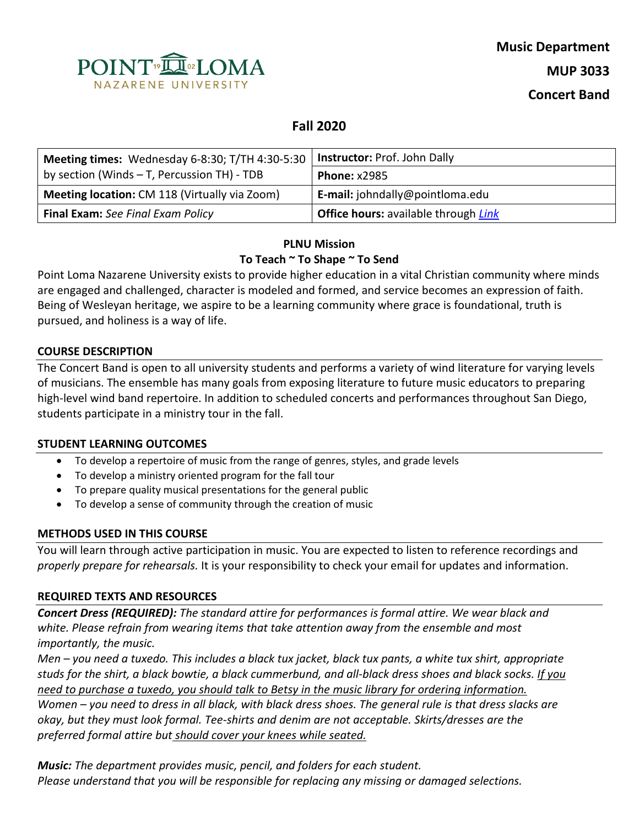

# **Fall 2020**

| Meeting times: Wednesday 6-8:30; T/TH 4:30-5:30      | <b>Instructor: Prof. John Dally</b>                |  |
|------------------------------------------------------|----------------------------------------------------|--|
| by section (Winds - T, Percussion TH) - TDB          | <b>Phone: x2985</b>                                |  |
| <b>Meeting location:</b> CM 118 (Virtually via Zoom) | E-mail: johndally@pointloma.edu                    |  |
| Final Exam: See Final Exam Policy                    | <b>Office hours:</b> available through <i>Link</i> |  |

# **PLNU Mission To Teach ~ To Shape ~ To Send**

Point Loma Nazarene University exists to provide higher education in a vital Christian community where minds are engaged and challenged, character is modeled and formed, and service becomes an expression of faith. Being of Wesleyan heritage, we aspire to be a learning community where grace is foundational, truth is pursued, and holiness is a way of life.

#### **COURSE DESCRIPTION**

The Concert Band is open to all university students and performs a variety of wind literature for varying levels of musicians. The ensemble has many goals from exposing literature to future music educators to preparing high-level wind band repertoire. In addition to scheduled concerts and performances throughout San Diego, students participate in a ministry tour in the fall.

#### **STUDENT LEARNING OUTCOMES**

- To develop a repertoire of music from the range of genres, styles, and grade levels
- To develop a ministry oriented program for the fall tour
- To prepare quality musical presentations for the general public
- To develop a sense of community through the creation of music

# **METHODS USED IN THIS COURSE**

You will learn through active participation in music. You are expected to listen to reference recordings and *properly prepare for rehearsals.* It is your responsibility to check your email for updates and information.

# **REQUIRED TEXTS AND RESOURCES**

*Concert Dress (REQUIRED): The standard attire for performances is formal attire. We wear black and white. Please refrain from wearing items that take attention away from the ensemble and most importantly, the music.*

*Men – you need a tuxedo. This includes a black tux jacket, black tux pants, a white tux shirt, appropriate studs for the shirt, a black bowtie, a black cummerbund, and all-black dress shoes and black socks. If you need to purchase a tuxedo, you should talk to Betsy in the music library for ordering information. Women – you need to dress in all black, with black dress shoes. The general rule is that dress slacks are okay, but they must look formal. Tee-shirts and denim are not acceptable. Skirts/dresses are the preferred formal attire but should cover your knees while seated.*

*Music: The department provides music, pencil, and folders for each student. Please understand that you will be responsible for replacing any missing or damaged selections.*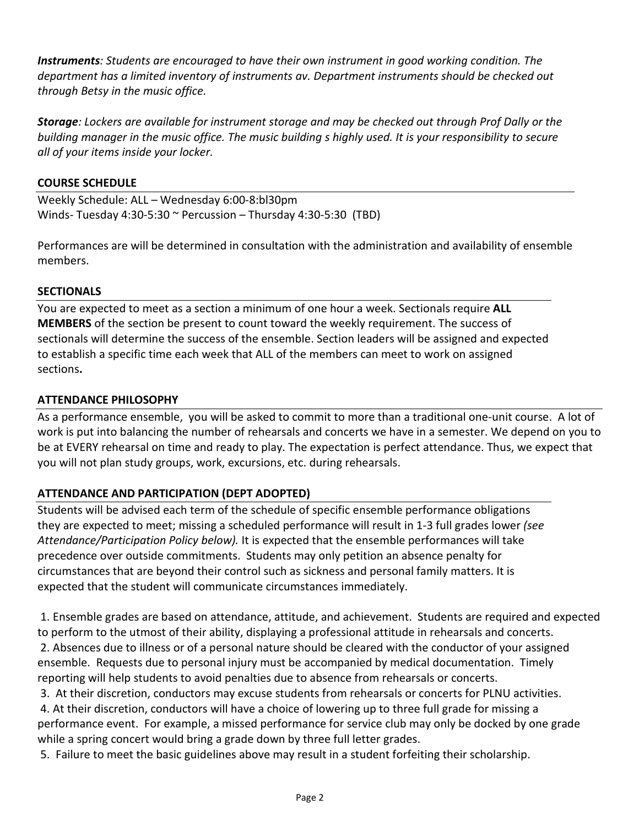*Instruments: Students are encouraged to have their own instrument in good working condition. The department has a limited inventory of instruments av. Department instruments should be checked out through Betsy in the music office.*

*Storage: Lockers are available for instrument storage and may be checked out through Prof Dally or the building manager in the music office. The music building s highly used. It is your responsibility to secure all of your items inside your locker.*

#### **COURSE SCHEDULE**

Weekly Schedule: ALL – Wednesday 6:00-8:bl30pm Winds- Tuesday 4:30-5:30 ~ Percussion – Thursday 4:30-5:30 (TBD)

Performances are will be determined in consultation with the administration and availability of ensemble members.

#### **SECTIONALS**

You are expected to meet as a section a minimum of one hour a week. Sectionals require **ALL MEMBERS** of the section be present to count toward the weekly requirement. The success of sectionals will determine the success of the ensemble. Section leaders will be assigned and expected to establish a specific time each week that ALL of the members can meet to work on assigned sections**.** 

#### **ATTENDANCE PHILOSOPHY**

As a performance ensemble, you will be asked to commit to more than a traditional one-unit course. A lot of work is put into balancing the number of rehearsals and concerts we have in a semester. We depend on you to be at EVERY rehearsal on time and ready to play. The expectation is perfect attendance. Thus, we expect that you will not plan study groups, work, excursions, etc. during rehearsals.

# **ATTENDANCE AND PARTICIPATION (DEPT ADOPTED)**

Students will be advised each term of the schedule of specific ensemble performance obligations they are expected to meet; missing a scheduled performance will result in 1-3 full grades lower *(see Attendance/Participation Policy below).* It is expected that the ensemble performances will take precedence over outside commitments. Students may only petition an absence penalty for circumstances that are beyond their control such as sickness and personal family matters. It is expected that the student will communicate circumstances immediately.

1. Ensemble grades are based on attendance, attitude, and achievement. Students are required and expected to perform to the utmost of their ability, displaying a professional attitude in rehearsals and concerts. 2. Absences due to illness or of a personal nature should be cleared with the conductor of your assigned ensemble. Requests due to personal injury must be accompanied by medical documentation. Timely reporting will help students to avoid penalties due to absence from rehearsals or concerts.

3. At their discretion, conductors may excuse students from rehearsals or concerts for PLNU activities.

4. At their discretion, conductors will have a choice of lowering up to three full grade for missing a performance event. For example, a missed performance for service club may only be docked by one grade while a spring concert would bring a grade down by three full letter grades.

5. Failure to meet the basic guidelines above may result in a student forfeiting their scholarship.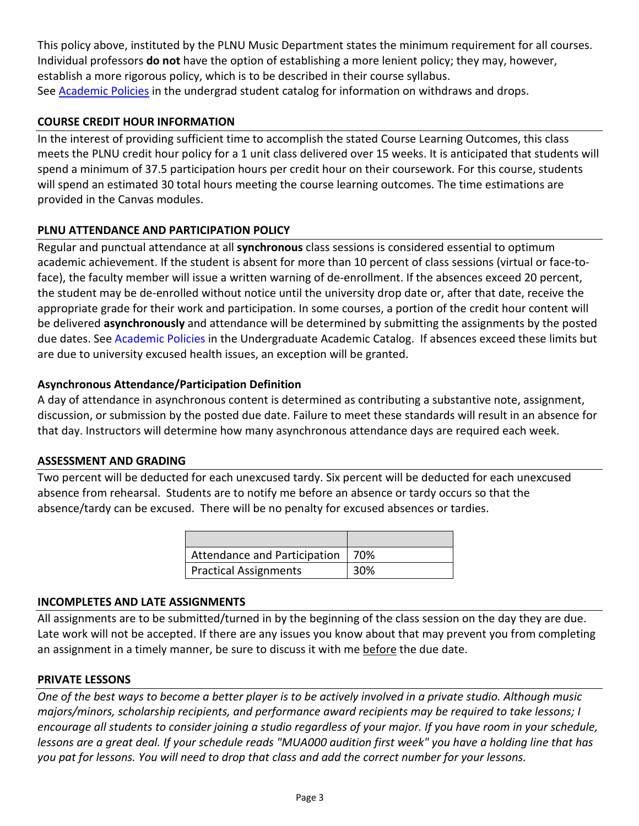This policy above, instituted by the PLNU Music Department states the minimum requirement for all courses. Individual professors **do not** have the option of establishing a more lenient policy; they may, however, establish a more rigorous policy, which is to be described in their course syllabus. See **Academic Policies** in the undergrad student catalog for information on withdraws and drops.

# **COURSE CREDIT HOUR INFORMATION**

In the interest of providing sufficient time to accomplish the stated Course Learning Outcomes, this class meets the PLNU credit hour policy for a 1 unit class delivered over 15 weeks. It is anticipated that students will spend a minimum of 37.5 participation hours per credit hour on their coursework. For this course, students will spend an estimated 30 total hours meeting the course learning outcomes. The time estimations are provided in the Canvas modules.

# **PLNU ATTENDANCE AND PARTICIPATION POLICY**

Regular and punctual attendance at all **synchronous** class sessions is considered essential to optimum academic achievement. If the student is absent for more than 10 percent of class sessions (virtual or face-toface), the faculty member will issue a written warning of de-enrollment. If the absences exceed 20 percent, the student may be de-enrolled without notice until the university drop date or, after that date, receive the appropriate grade for their work and participation. In some courses, a portion of the credit hour content will be delivered **asynchronously** and attendance will be determined by submitting the assignments by the posted due dates. See [Academic Policies](https://catalog.pointloma.edu/content.php?catoid=46&navoid=2650#Class_Attendance) in the Undergraduate Academic Catalog. If absences exceed these limits but are due to university excused health issues, an exception will be granted.

# **Asynchronous Attendance/Participation Definition**

A day of attendance in asynchronous content is determined as contributing a substantive note, assignment, discussion, or submission by the posted due date. Failure to meet these standards will result in an absence for that day. Instructors will determine how many asynchronous attendance days are required each week.

#### **ASSESSMENT AND GRADING**

Two percent will be deducted for each unexcused tardy. Six percent will be deducted for each unexcused absence from rehearsal. Students are to notify me before an absence or tardy occurs so that the absence/tardy can be excused. There will be no penalty for excused absences or tardies.

| Attendance and Participation   70% |     |
|------------------------------------|-----|
| <b>Practical Assignments</b>       | 30% |

#### **INCOMPLETES AND LATE ASSIGNMENTS**

All assignments are to be submitted/turned in by the beginning of the class session on the day they are due. Late work will not be accepted. If there are any issues you know about that may prevent you from completing an assignment in a timely manner, be sure to discuss it with me before the due date.

#### **PRIVATE LESSONS**

*One of the best ways to become a better player is to be actively involved in a private studio. Although music majors/minors, scholarship recipients, and performance award recipients may be required to take lessons; I encourage all students to consider joining a studio regardless of your major. If you have room in your schedule, lessons are a great deal. If your schedule reads "MUA000 audition first week" you have a holding line that has you pat for lessons. You will need to drop that class and add the correct number for your lessons.*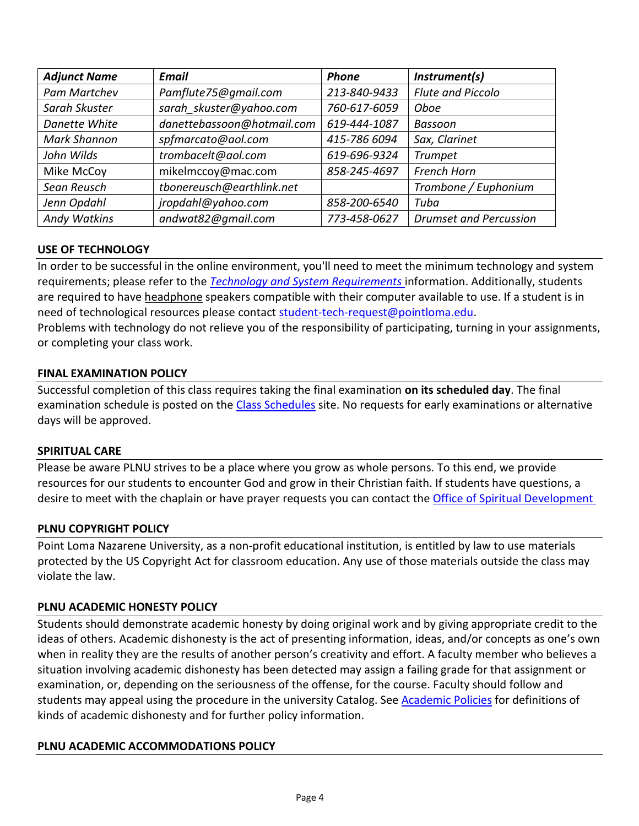| <b>Adjunct Name</b> | <b>Email</b>               | <b>Phone</b> | Instrument(s)                 |
|---------------------|----------------------------|--------------|-------------------------------|
| Pam Martchev        | Pamflute75@gmail.com       | 213-840-9433 | Flute and Piccolo             |
| Sarah Skuster       | sarah skuster@yahoo.com    | 760-617-6059 | Oboe                          |
| Danette White       | danettebassoon@hotmail.com | 619-444-1087 | Bassoon                       |
| <b>Mark Shannon</b> | spfmarcato@aol.com         | 415-786 6094 | Sax, Clarinet                 |
| John Wilds          | trombacelt@aol.com         | 619-696-9324 | <b>Trumpet</b>                |
| Mike McCoy          | mikelmccoy@mac.com         | 858-245-4697 | French Horn                   |
| Sean Reusch         | tbonereusch@earthlink.net  |              | Trombone / Euphonium          |
| Jenn Opdahl         | jropdahl@yahoo.com         | 858-200-6540 | Tuba                          |
| <b>Andy Watkins</b> | andwat82@gmail.com         | 773-458-0627 | <b>Drumset and Percussion</b> |

# **USE OF TECHNOLOGY**

In order to be successful in the online environment, you'll need to meet the minimum technology and system requirements; please refer to the *[Technology and System Requirements](https://help.pointloma.edu/TDClient/1808/Portal/KB/ArticleDet?ID=108349)* information. Additionally, students are required to have headphone speakers compatible with their computer available to use. If a student is in need of technological resources please contact [student-tech-request@pointloma.edu.](mailto:student-tech-request@pointloma.edu)

Problems with technology do not relieve you of the responsibility of participating, turning in your assignments, or completing your class work.

# **FINAL EXAMINATION POLICY**

Successful completion of this class requires taking the final examination **on its scheduled day**. The final examination schedule is posted on the [Class Schedules](http://www.pointloma.edu/experience/academics/class-schedules) site. No requests for early examinations or alternative days will be approved.

# **SPIRITUAL CARE**

Please be aware PLNU strives to be a place where you grow as whole persons. To this end, we provide resources for our students to encounter God and grow in their Christian faith. If students have questions, a desire to meet with the chaplain or have prayer requests you can contact th[e Office of Spiritual Development](https://www.pointloma.edu/offices/spiritual-development)

# **PLNU COPYRIGHT POLICY**

Point Loma Nazarene University, as a non-profit educational institution, is entitled by law to use materials protected by the US Copyright Act for classroom education. Any use of those materials outside the class may violate the law.

# **PLNU ACADEMIC HONESTY POLICY**

Students should demonstrate academic honesty by doing original work and by giving appropriate credit to the ideas of others. Academic dishonesty is the act of presenting information, ideas, and/or concepts as one's own when in reality they are the results of another person's creativity and effort. A faculty member who believes a situation involving academic dishonesty has been detected may assign a failing grade for that assignment or examination, or, depending on the seriousness of the offense, for the course. Faculty should follow and students may appeal using the procedure in the university Catalog. Se[e Academic Policies](https://catalog.pointloma.edu/content.php?catoid=41&navoid=2435#Academic_Honesty) for definitions of kinds of academic dishonesty and for further policy information.

# **PLNU ACADEMIC ACCOMMODATIONS POLICY**